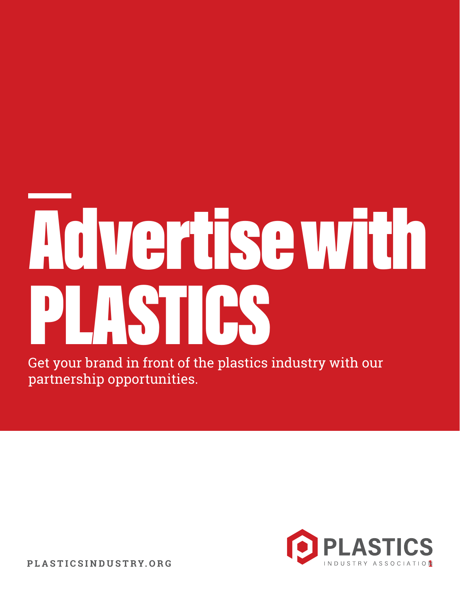# Advertise with PLASTICS

Get your brand in front of the plastics industry with our partnership opportunities.



**PLASTICSINDUSTRY.ORG**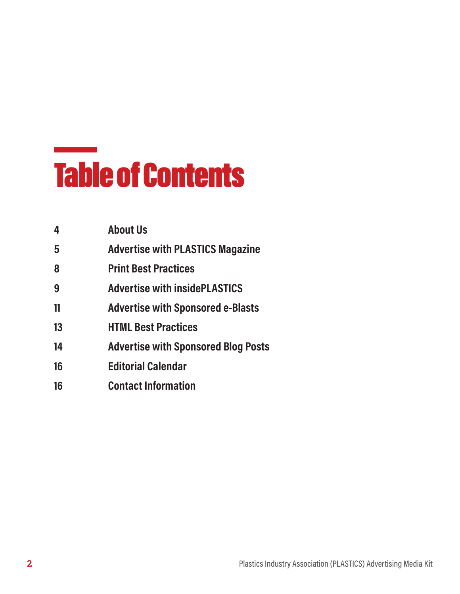#### Table of Contents

| <b>About Us</b>                            |
|--------------------------------------------|
| <b>Advertise with PLASTICS Magazine</b>    |
| <b>Print Best Practices</b>                |
| <b>Advertise with insidePLASTICS</b>       |
| <b>Advertise with Sponsored e-Blasts</b>   |
| <b>HTML Best Practices</b>                 |
| <b>Advertise with Sponsored Blog Posts</b> |
| <b>Editorial Calendar</b>                  |
| <b>Contact Information</b>                 |
|                                            |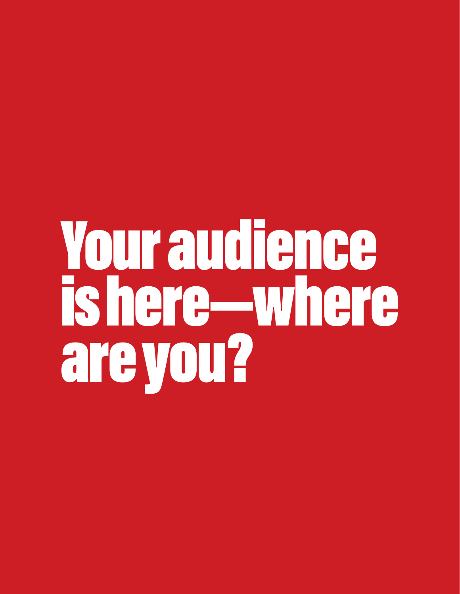# Your audience is here—where are you?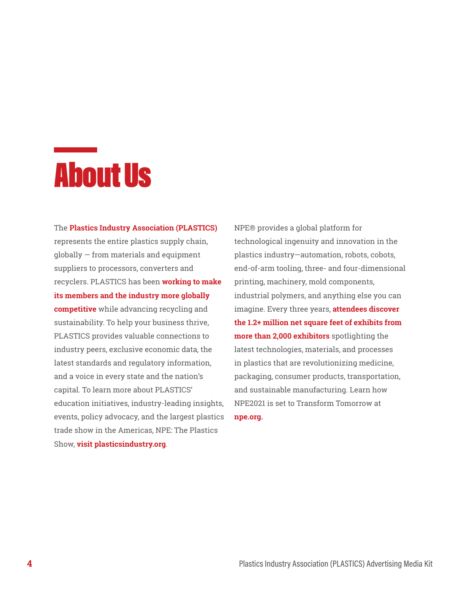

The **Plastics Industry Association (PLASTICS)**  represents the entire plastics supply chain, globally — from materials and equipment suppliers to processors, converters and recyclers. PLASTICS has been **working to make its members and the industry more globally competitive** while advancing recycling and sustainability. To help your business thrive, PLASTICS provides valuable connections to industry peers, exclusive economic data, the latest standards and regulatory information, and a voice in every state and the nation's capital. To learn more about PLASTICS' education initiatives, industry-leading insights, events, policy advocacy, and the largest plastics trade show in the Americas, NPE: The Plastics Show, **visit plasticsindustry.org**.

NPE® provides a global platform for technological ingenuity and innovation in the plastics industry—automation, robots, cobots, end-of-arm tooling, three- and four-dimensional printing, machinery, mold components, industrial polymers, and anything else you can imagine. Every three years, **attendees discover the 1.2+ million net square feet of exhibits from more than 2,000 exhibitors** spotlighting the latest technologies, materials, and processes in plastics that are revolutionizing medicine, packaging, consumer products, transportation, and sustainable manufacturing. Learn how NPE2021 is set to Transform Tomorrow at **npe.org.**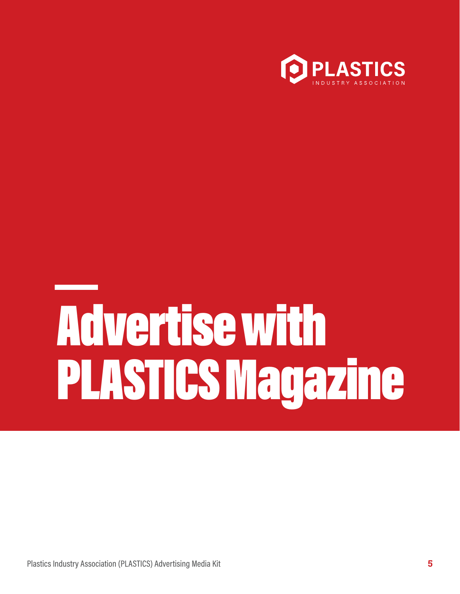

# Advertise with PLASTICS Magazine

Plastics Industry Association (PLASTICS) Advertising Media Kit **5**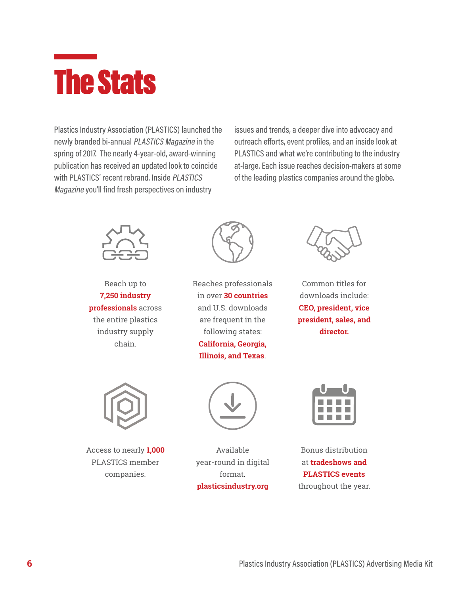#### The Stats

Plastics Industry Association (PLASTICS) launched the newly branded bi-annual PLASTICS Magazine in the spring of 2017. The nearly 4-year-old, award-winning publication has received an updated look to coincide with PLASTICS' recent rebrand. Inside PLASTICS Magazine you'll find fresh perspectives on industry

issues and trends, a deeper dive into advocacy and outreach efforts, event profiles, and an inside look at PLASTICS and what we're contributing to the industry at-large. Each issue reaches decision-makers at some of the leading plastics companies around the globe.



Reach up to **7,250 industry professionals** across the entire plastics industry supply chain.



Reaches professionals in over **30 countries**  and U.S. downloads are frequent in the following states: **California, Georgia, Illinois, and Texas**.



Common titles for downloads include: **CEO, president, vice president, sales, and director.** 



Access to nearly **1,000**  PLASTICS member companies.



Available year-round in digital format. **plasticsindustry.org** 



Bonus distribution at **tradeshows and PLASTICS events**  throughout the year.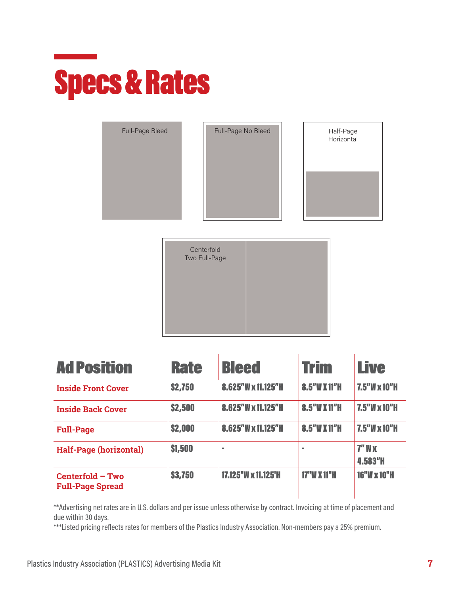#### Specs & Rates

| Full-Page Bleed | Full-Page No Bleed | Half-Page<br>Horizontal |
|-----------------|--------------------|-------------------------|
|                 |                    |                         |
|                 |                    |                         |

| Centerfold<br>Two Full-Page |  |
|-----------------------------|--|
|                             |  |

| <b>Ad Position</b>                          | <b>Rate</b> | <b>Bleed</b>        | Trim               | <b>Live</b>           |
|---------------------------------------------|-------------|---------------------|--------------------|-----------------------|
| <b>Inside Front Cover</b>                   | \$2,750     | 8.625"W x 11.125"H  | 8.5"W X 11"H       | $7.5''$ W x 10"H      |
| <b>Inside Back Cover</b>                    | \$2,500     | 8.625"W x 11.125"H  | 8.5"W X 11"H       | $7.5''$ W x 10"H      |
| <b>Full-Page</b>                            | \$2,000     | 8.625"W x 11.125"H  | 8.5"W X 11"H       | $7.5''$ W x 10"H      |
| <b>Half-Page (horizontal)</b>               | \$1,500     |                     | m.                 | $7"$ W $x$<br>4.583"H |
| Centerfold - Two<br><b>Full-Page Spread</b> | \$3,750     | 17.125"W x 11.125'H | <b>17"W X 11"H</b> | <b>16"W x 10"H</b>    |

\*\*Advertising net rates are in U.S. dollars and per issue unless otherwise by contract. Invoicing at time of placement and due within 30 days.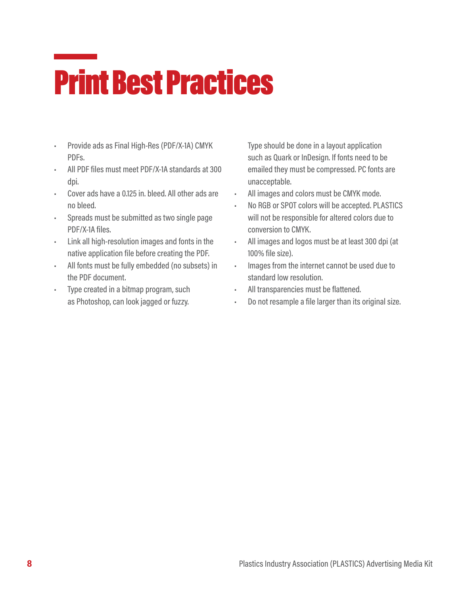#### Print Best Practices

- Provide ads as Final High-Res (PDF/X-1A) CMYK PDFs.
- All PDF files must meet PDF/X-1A standards at 300 dpi.
- Cover ads have a 0.125 in. bleed. All other ads are no bleed.
- Spreads must be submitted as two single page PDF/X-1A files.
- Link all high-resolution images and fonts in the native application file before creating the PDF.
- All fonts must be fully embedded (no subsets) in the PDF document.
- Type created in a bitmap program, such as Photoshop, can look jagged or fuzzy.

Type should be done in a layout application such as Quark or InDesign. If fonts need to be emailed they must be compressed. PC fonts are unacceptable.

- All images and colors must be CMYK mode.
- No RGB or SPOT colors will be accepted. PLASTICS will not be responsible for altered colors due to conversion to CMYK.
- All images and logos must be at least 300 dpi (at 100% file size).
- Images from the internet cannot be used due to standard low resolution.
- All transparencies must be flattened.
- Do not resample a file larger than its original size.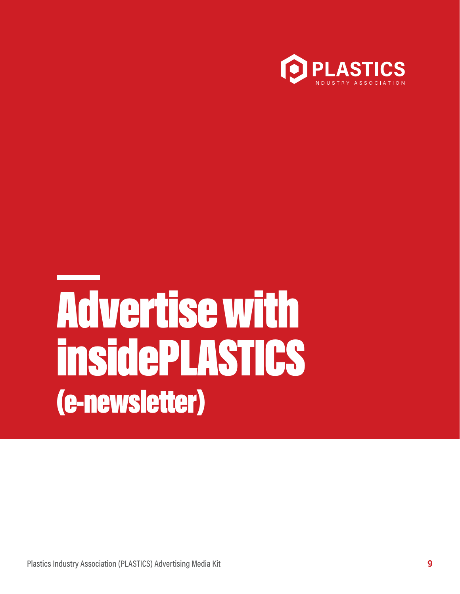

### Advertise with insidePLASTICS (e-newsletter)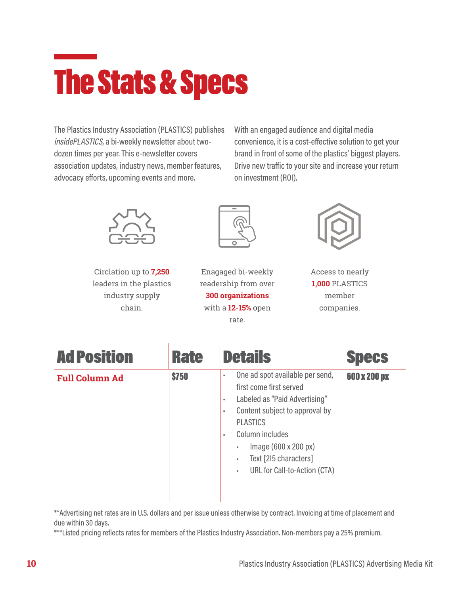#### The Stats & Specs

The Plastics Industry Association (PLASTICS) publishes insidePLASTICS, a bi-weekly newsletter about twodozen times per year. This e-newsletter covers association updates, industry news, member features, advocacy efforts, upcoming events and more.

With an engaged audience and digital media convenience, it is a cost-effective solution to get your brand in front of some of the plastics' biggest players. Drive new traffic to your site and increase your return on investment (ROI).



Circlation up to **7,250**  leaders in the plastics industry supply chain.



Enagaged bi-weekly readership from over **300 organizations** with a **12-15%** open rate.



Access to nearly **1,000** PLASTICS member companies.

| <b>Ad Position</b>    | <b>Rate</b>  | <b>Details</b>                                                                                                                                                                                                                                                                                 | <b>Specs</b> |
|-----------------------|--------------|------------------------------------------------------------------------------------------------------------------------------------------------------------------------------------------------------------------------------------------------------------------------------------------------|--------------|
| <b>Full Column Ad</b> | <b>\$750</b> | One ad spot available per send,<br>٠<br>first come first served<br>Labeled as "Paid Advertising"<br>٠<br>Content subject to approval by<br>٠<br><b>PLASTICS</b><br>Column includes<br>$\alpha$<br>Image (600 x 200 px)<br>٠<br>Text [215 characters]<br>٠<br>URL for Call-to-Action (CTA)<br>٠ | 600 x 200 px |

\*\*Advertising net rates are in U.S. dollars and per issue unless otherwise by contract. Invoicing at time of placement and due within 30 days.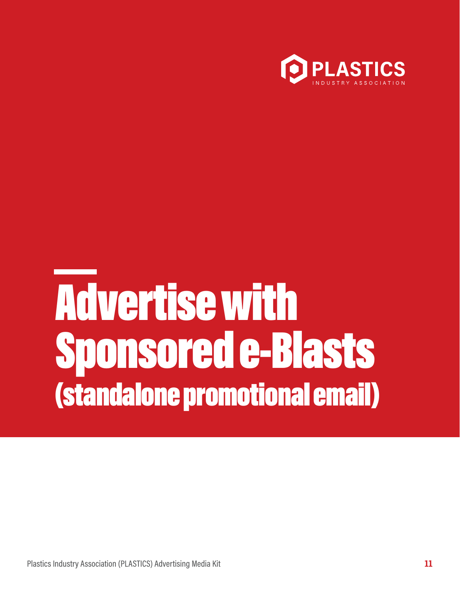

### Advertise with Sponsored e-Blasts (standalone promotional email)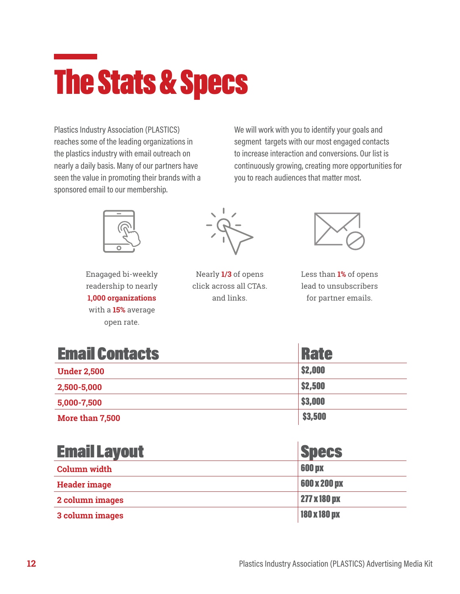#### The Stats & Specs

Plastics Industry Association (PLASTICS) reaches some of the leading organizations in the plastics industry with email outreach on nearly a daily basis. Many of our partners have seen the value in promoting their brands with a sponsored email to our membership.

We will work with you to identify your goals and segment targets with our most engaged contacts to increase interaction and conversions. Our list is continuously growing, creating more opportunities for you to reach audiences that matter most.



Enagaged bi-weekly readership to nearly **1,000 organizations** with a **15%** average open rate.



Nearly **1/3** of opens click across all CTAs. and links.



Less than **1%** of opens lead to unsubscribers for partner emails.

| <b>Email Contacts</b> | Rate           |
|-----------------------|----------------|
| <b>Under 2,500</b>    | \$2,000        |
| 2,500-5,000           | <b>\$2,500</b> |
| 5,000-7,500           | \$3,000        |
| More than 7,500       | \$3,500        |

| <b>Email Layout</b> | <b>Specs</b>  |
|---------------------|---------------|
| <b>Column</b> width | <b>600 px</b> |
| <b>Header image</b> | 600 x 200 px  |
| 2 column images     | 277 x 180 px  |
| 3 column images     | 180 x 180 px  |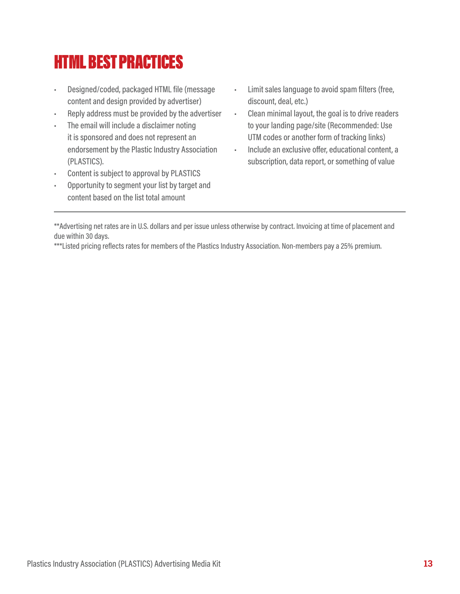#### HTML BEST PRACTICES

- Designed/coded, packaged HTML file (message content and design provided by advertiser)
- Reply address must be provided by the advertiser
- The email will include a disclaimer noting it is sponsored and does not represent an endorsement by the Plastic Industry Association (PLASTICS).
- Content is subject to approval by PLASTICS
- Opportunity to segment your list by target and content based on the list total amount
- Limit sales language to avoid spam filters (free, discount, deal, etc.)
- Clean minimal layout, the goal is to drive readers to your landing page/site (Recommended: Use UTM codes or another form of tracking links)
- Include an exclusive offer, educational content, a subscription, data report, or something of value

\*\*Advertising net rates are in U.S. dollars and per issue unless otherwise by contract. Invoicing at time of placement and due within 30 days.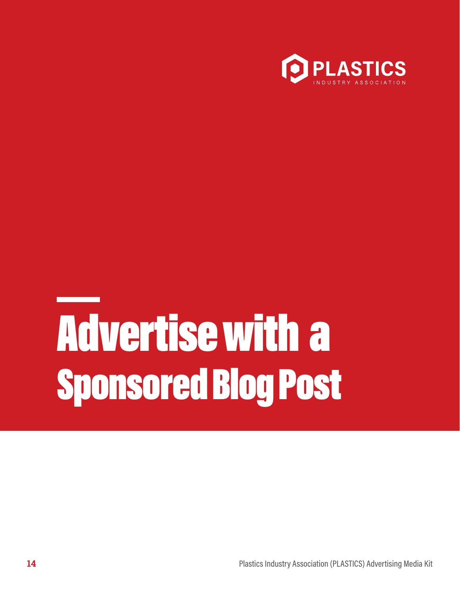

## Advertise with a Sponsored Blog Post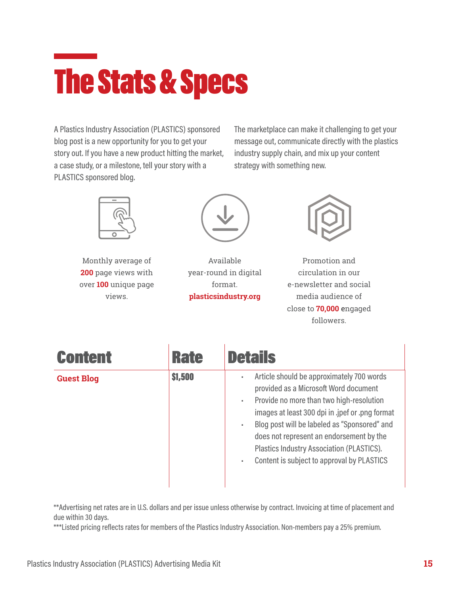#### The Stats & Specs

A Plastics Industry Association (PLASTICS) sponsored blog post is a new opportunity for you to get your story out. If you have a new product hitting the market, a case study, or a milestone, tell your story with a PLASTICS sponsored blog.

The marketplace can make it challenging to get your message out, communicate directly with the plastics industry supply chain, and mix up your content strategy with something new.



Monthly average of **200** page views with over **100** unique page views.



Available year-round in digital format. **plasticsindustry.org** 



Promotion and circulation in our e-newsletter and social media audience of close to **70,000** engaged followers.

| <b>Content</b>    | <b>Rate</b> | <b>Details</b>                                                                                                                                                                                                                                                                                                                                                                                      |
|-------------------|-------------|-----------------------------------------------------------------------------------------------------------------------------------------------------------------------------------------------------------------------------------------------------------------------------------------------------------------------------------------------------------------------------------------------------|
| <b>Guest Blog</b> | \$1,500     | Article should be approximately 700 words<br>٠<br>provided as a Microsoft Word document<br>Provide no more than two high-resolution<br>٠<br>images at least 300 dpi in .jpef or .png format<br>Blog post will be labeled as "Sponsored" and<br>٠<br>does not represent an endorsement by the<br><b>Plastics Industry Association (PLASTICS).</b><br>Content is subject to approval by PLASTICS<br>٠ |

\*\*Advertising net rates are in U.S. dollars and per issue unless otherwise by contract. Invoicing at time of placement and due within 30 days.